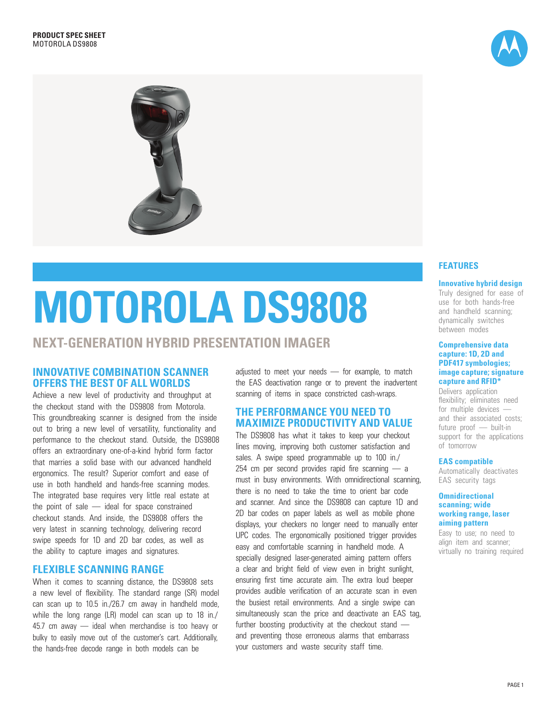



# **MOTOROLA DS9808**

# **NEXT-GENERATION HYBRID PRESENTATION IMAGER**

# **INNOVATIVE COMBINATION SCANNER OFFERS THE BEST OF ALL WORLDS**

Achieve a new level of productivity and throughput at the checkout stand with the DS9808 from Motorola. This groundbreaking scanner is designed from the inside out to bring a new level of versatility, functionality and performance to the checkout stand. Outside, the DS9808 offers an extraordinary one-of-a-kind hybrid form factor that marries a solid base with our advanced handheld ergonomics. The result? Superior comfort and ease of use in both handheld and hands-free scanning modes. The integrated base requires very little real estate at the point of sale — ideal for space constrained checkout stands. And inside, the DS9808 offers the very latest in scanning technology, delivering record swipe speeds for 1D and 2D bar codes, as well as the ability to capture images and signatures.

# **FLEXIBLE SCANNING RANGE**

When it comes to scanning distance, the DS9808 sets a new level of flexibility. The standard range (SR) model can scan up to 10.5 in./26.7 cm away in handheld mode, while the long range (LR) model can scan up to 18 in./ 45.7 cm away — ideal when merchandise is too heavy or bulky to easily move out of the customer's cart. Additionally, the hands-free decode range in both models can be

adjusted to meet your needs — for example, to match the EAS deactivation range or to prevent the inadvertent scanning of items in space constricted cash-wraps.

# **THE PERFORMANCE YOU NEED TO MAXIMIZE PRODUCTIVITY AND VALUE**

The DS9808 has what it takes to keep your checkout lines moving, improving both customer satisfaction and sales. A swipe speed programmable up to 100 in./ 254 cm per second provides rapid fire scanning - a must in busy environments. With omnidirectional scanning, there is no need to take the time to orient bar code and scanner. And since the DS9808 can capture 1D and 2D bar codes on paper labels as well as mobile phone displays, your checkers no longer need to manually enter UPC codes. The ergonomically positioned trigger provides easy and comfortable scanning in handheld mode. A specially designed laser-generated aiming pattern offers a clear and bright field of view even in bright sunlight, ensuring first time accurate aim. The extra loud beeper provides audible verification of an accurate scan in even the busiest retail environments. And a single swipe can simultaneously scan the price and deactivate an EAS tag, further boosting productivity at the checkout stand and preventing those erroneous alarms that embarrass your customers and waste security staff time.

# **FEATURES**

#### **Innovative hybrid design**

Truly designed for ease of use for both hands-free and handheld scanning; dynamically switches between modes

#### **Comprehensive data capture: 1D, 2D and PDF417 symbologies; image capture; signature capture and RFID\***

Delivers application flexibility; eliminates need for multiple devices and their associated costs; future proof — built-in support for the applications of tomorrow

#### **EAS compatible**

Automatically deactivates EAS security tags

#### **Omnidirectional scanning; wide working range, laser aiming pattern**

Easy to use; no need to align item and scanner; virtually no training required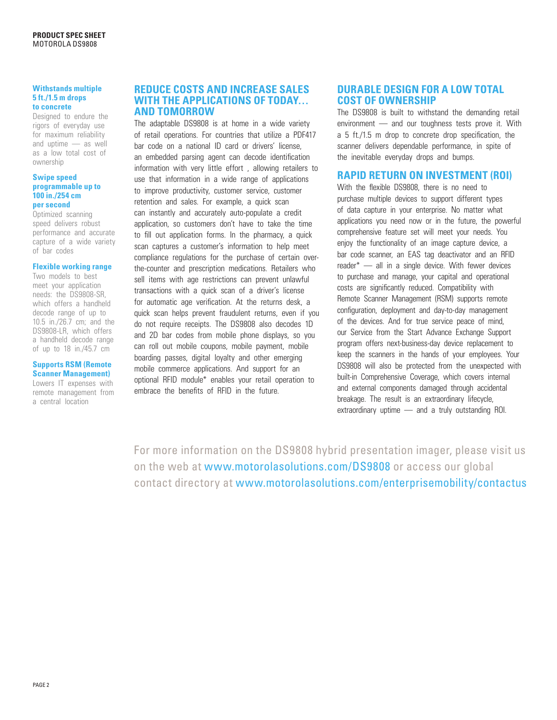#### **Withstands multiple 5 ft./1.5 m drops to concrete**

Designed to endure the rigors of everyday use for maximum reliability and uptime — as well as a low total cost of ownership

#### **Swipe speed programmable up to 100 in./254 cm per second**

Optimized scanning speed delivers robust performance and accurate capture of a wide variety of bar codes

#### **Flexible working range**

Two models to best meet your application needs: the DS9808-SR, which offers a handheld decode range of up to 10.5 in./26.7 cm; and the DS9808-LR, which offers a handheld decode range of up to 18 in./45.7 cm

#### **Supports RSM (Remote Scanner Management)**

Lowers IT expenses with remote management from a central location

## **REDUCE COSTS AND INCREASE SALES WITH THE APPLICATIONS OF TODAY… AND TOMORROW**

The adaptable DS9808 is at home in a wide variety of retail operations. For countries that utilize a PDF417 bar code on a national ID card or drivers' license, an embedded parsing agent can decode identification information with very little effort , allowing retailers to use that information in a wide range of applications to improve productivity, customer service, customer retention and sales. For example, a quick scan can instantly and accurately auto-populate a credit application, so customers don't have to take the time to fill out application forms. In the pharmacy, a quick scan captures a customer's information to help meet compliance regulations for the purchase of certain overthe-counter and prescription medications. Retailers who sell items with age restrictions can prevent unlawful transactions with a quick scan of a driver's license for automatic age verification. At the returns desk, a quick scan helps prevent fraudulent returns, even if you do not require receipts. The DS9808 also decodes 1D and 2D bar codes from mobile phone displays, so you can roll out mobile coupons, mobile payment, mobile boarding passes, digital loyalty and other emerging mobile commerce applications. And support for an optional RFID module\* enables your retail operation to embrace the benefits of RFID in the future.

# **DURABLE DESIGN FOR A LOW TOTAL COST OF OWNERSHIP**

The DS9808 is built to withstand the demanding retail environment — and our toughness tests prove it. With a 5 ft./1.5 m drop to concrete drop specification, the scanner delivers dependable performance, in spite of the inevitable everyday drops and bumps.

# **RAPID RETURN ON INVESTMENT (ROI)**

With the flexible DS9808, there is no need to purchase multiple devices to support different types of data capture in your enterprise. No matter what applications you need now or in the future, the powerful comprehensive feature set will meet your needs. You enjoy the functionality of an image capture device, a bar code scanner, an EAS tag deactivator and an RFID reader<sup>\*</sup> — all in a single device. With fewer devices to purchase and manage, your capital and operational costs are significantly reduced. Compatibility with Remote Scanner Management (RSM) supports remote configuration, deployment and day-to-day management of the devices. And for true service peace of mind, our Service from the Start Advance Exchange Support program offers next-business-day device replacement to keep the scanners in the hands of your employees. Your DS9808 will also be protected from the unexpected with built-in Comprehensive Coverage, which covers internal and external components damaged through accidental breakage. The result is an extraordinary lifecycle, extraordinary uptime — and a truly outstanding ROI.

For more information on the DS9808 hybrid presentation imager, please visit us on the web at www.motorolasolutions.com/DS9808 or access our global contact directory at www.motorolasolutions.com/enterprisemobility/contactus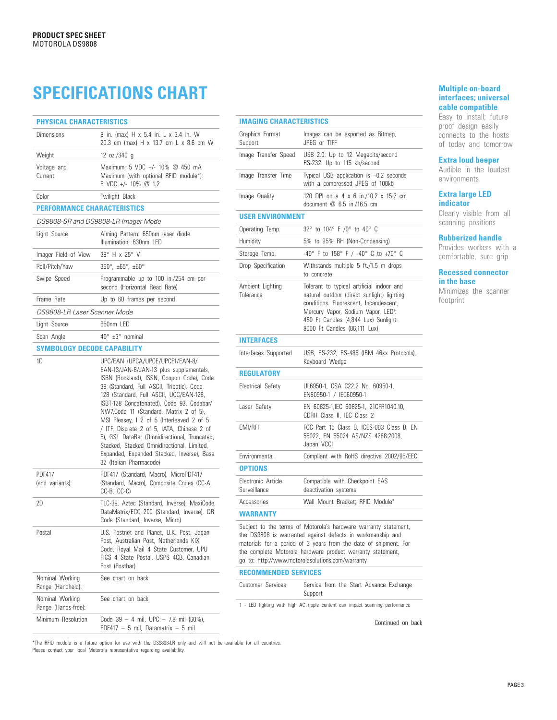# **SPECIFICATIONS CHART**

| <b>PHYSICAL CHARACTERISTICS</b>        |                                                                                                                                                                                                                                                                                                                                                                                                                                                                                                                                                                           |  |
|----------------------------------------|---------------------------------------------------------------------------------------------------------------------------------------------------------------------------------------------------------------------------------------------------------------------------------------------------------------------------------------------------------------------------------------------------------------------------------------------------------------------------------------------------------------------------------------------------------------------------|--|
| <b>Dimensions</b>                      | 8 in. (max) H x 5.4 in. L x 3.4 in. W<br>20.3 cm (max) H x 13.7 cm L x 8.6 cm W                                                                                                                                                                                                                                                                                                                                                                                                                                                                                           |  |
| Weight                                 | 12 $oz./340 g$                                                                                                                                                                                                                                                                                                                                                                                                                                                                                                                                                            |  |
| Voltage and<br>Current                 | Maximum: 5 VDC +/- 10% @ 450 mA<br>Maximum (with optional RFID module*):<br>5 VDC +/- 10% @ 1.2                                                                                                                                                                                                                                                                                                                                                                                                                                                                           |  |
| Color                                  | Twilight Black                                                                                                                                                                                                                                                                                                                                                                                                                                                                                                                                                            |  |
| <b>PERFORMANCE CHARACTERISTICS</b>     |                                                                                                                                                                                                                                                                                                                                                                                                                                                                                                                                                                           |  |
| DS9808-SR and DS9808-LR Imager Mode    |                                                                                                                                                                                                                                                                                                                                                                                                                                                                                                                                                                           |  |
| Light Source                           | Aiming Pattern: 650nm laser diode<br>Illumination: 630nm LED                                                                                                                                                                                                                                                                                                                                                                                                                                                                                                              |  |
| Imager Field of View                   | 39° H x 25° V                                                                                                                                                                                                                                                                                                                                                                                                                                                                                                                                                             |  |
| Roll/Pitch/Yaw                         | $360^{\circ}$ , $\pm 65^{\circ}$ , $\pm 60^{\circ}$                                                                                                                                                                                                                                                                                                                                                                                                                                                                                                                       |  |
| Swipe Speed                            | Programmable up to 100 in./254 cm per<br>second (Horizontal Read Rate)                                                                                                                                                                                                                                                                                                                                                                                                                                                                                                    |  |
| Frame Rate                             | Up to 60 frames per second                                                                                                                                                                                                                                                                                                                                                                                                                                                                                                                                                |  |
| DS9808-LR Laser Scanner Mode           |                                                                                                                                                                                                                                                                                                                                                                                                                                                                                                                                                                           |  |
| Light Source                           | 650nm LED                                                                                                                                                                                                                                                                                                                                                                                                                                                                                                                                                                 |  |
| Scan Angle                             | $40^{\circ}$ $\pm 3^{\circ}$ nominal                                                                                                                                                                                                                                                                                                                                                                                                                                                                                                                                      |  |
| <b>SYMBOLOGY DECODE CAPABILITY</b>     |                                                                                                                                                                                                                                                                                                                                                                                                                                                                                                                                                                           |  |
| 1D                                     | UPC/EAN (UPCA/UPCE/UPCE1/EAN-8/<br>EAN-13/JAN-8/JAN-13 plus supplementals,<br>ISBN (Bookland), ISSN, Coupon Code), Code<br>39 (Standard, Full ASCII, Trioptic), Code<br>128 (Standard, Full ASCII, UCC/EAN-128,<br>ISBT-128 Concatenated), Code 93, Codabar/<br>NW7, Code 11 (Standard, Matrix 2 of 5),<br>MSI Plessey, I 2 of 5 (Interleaved 2 of 5<br>/ ITF, Discrete 2 of 5, IATA, Chinese 2 of<br>5), GS1 DataBar (Omnidirectional, Truncated,<br>Stacked, Stacked Omnidirectional, Limited,<br>Expanded, Expanded Stacked, Inverse), Base<br>32 (Italian Pharmacode) |  |
| <b>PDF417</b><br>(and variants):       | PDF417 (Standard, Macro), MicroPDF417<br>(Standard, Macro), Composite Codes (CC-A,<br>CC-B, CC-C)                                                                                                                                                                                                                                                                                                                                                                                                                                                                         |  |
| 2D                                     | TLC-39, Aztec (Standard, Inverse), MaxiCode,<br>DataMatrix/ECC 200 (Standard, Inverse), QR<br>Code (Standard, Inverse, Micro)                                                                                                                                                                                                                                                                                                                                                                                                                                             |  |
| Postal                                 | U.S. Postnet and Planet, U.K. Post, Japan<br>Post, Australian Post, Netherlands KIX<br>Code, Royal Mail 4 State Customer, UPU<br>FICS 4 State Postal, USPS 4CB, Canadian<br>Post (Postbar)                                                                                                                                                                                                                                                                                                                                                                                |  |
| Nominal Working<br>Range (Handheld):   | See chart on back                                                                                                                                                                                                                                                                                                                                                                                                                                                                                                                                                         |  |
| Nominal Working<br>Range (Hands-free): | See chart on back                                                                                                                                                                                                                                                                                                                                                                                                                                                                                                                                                         |  |
| Minimum Resolution                     | Code 39 - 4 mil, UPC - 7.8 mil (60%),<br>PDF417 - 5 mil, Datamatrix - 5 mil                                                                                                                                                                                                                                                                                                                                                                                                                                                                                               |  |

| <b>IMAGING CHARACTERISTICS</b>                                                                                                                                                                                                                                                                                      |                                                                                                                                                                                                                                                              |  |
|---------------------------------------------------------------------------------------------------------------------------------------------------------------------------------------------------------------------------------------------------------------------------------------------------------------------|--------------------------------------------------------------------------------------------------------------------------------------------------------------------------------------------------------------------------------------------------------------|--|
| Graphics Format<br>Support                                                                                                                                                                                                                                                                                          | Images can be exported as Bitmap,<br>JPEG or TIFF                                                                                                                                                                                                            |  |
| Image Transfer Speed                                                                                                                                                                                                                                                                                                | USB 2.0: Up to 12 Megabits/second<br>RS-232: Up to 115 kb/second                                                                                                                                                                                             |  |
| Image Transfer Time                                                                                                                                                                                                                                                                                                 | Typical USB application is $\sim 0.2$ seconds<br>with a compressed JPEG of 100kb                                                                                                                                                                             |  |
| Image Quality                                                                                                                                                                                                                                                                                                       | 120 DPI on a 4 x 6 in./10.2 x 15.2 cm<br>document @ 6.5 in./16.5 cm                                                                                                                                                                                          |  |
| <b>USER ENVIRONMENT</b>                                                                                                                                                                                                                                                                                             |                                                                                                                                                                                                                                                              |  |
| Operating Temp.                                                                                                                                                                                                                                                                                                     | 32° to 104° F /0° to 40° C                                                                                                                                                                                                                                   |  |
| Humidity                                                                                                                                                                                                                                                                                                            | 5% to 95% RH (Non-Condensing)                                                                                                                                                                                                                                |  |
| Storage Temp.                                                                                                                                                                                                                                                                                                       | -40° F to 158° F / -40° C to +70° C                                                                                                                                                                                                                          |  |
| Drop Specification                                                                                                                                                                                                                                                                                                  | Withstands multiple 5 ft./1.5 m drops<br>to concrete                                                                                                                                                                                                         |  |
| Ambient Lighting<br>Tolerance                                                                                                                                                                                                                                                                                       | Tolerant to typical artificial indoor and<br>natural outdoor (direct sunlight) lighting<br>conditions. Fluorescent, Incandescent,<br>Mercury Vapor, Sodium Vapor, LED <sup>1</sup> :<br>450 Ft Candles (4,844 Lux) Sunlight:<br>8000 Ft Candles (86,111 Lux) |  |
| <b>INTERFACES</b>                                                                                                                                                                                                                                                                                                   |                                                                                                                                                                                                                                                              |  |
| Interfaces Supported                                                                                                                                                                                                                                                                                                | USB, RS-232, RS-485 (IBM 46xx Protocols),<br>Keyboard Wedge                                                                                                                                                                                                  |  |
| <b>REGULATORY</b>                                                                                                                                                                                                                                                                                                   |                                                                                                                                                                                                                                                              |  |
| Electrical Safety                                                                                                                                                                                                                                                                                                   | UL6950-1, CSA C22.2 No. 60950-1,<br>EN60950-1 / IEC60950-1                                                                                                                                                                                                   |  |
| Laser Safety                                                                                                                                                                                                                                                                                                        | EN 60825-1, IEC 60825-1, 21CFR1040.10,<br>CDRH Class II, IEC Class 2                                                                                                                                                                                         |  |
| EMI/RFI                                                                                                                                                                                                                                                                                                             | FCC Part 15 Class B, ICES-003 Class B, EN<br>55022, EN 55024 AS/NZS 4268:2008,<br>Japan VCCI                                                                                                                                                                 |  |
| Environmental                                                                                                                                                                                                                                                                                                       | Compliant with RoHS directive 2002/95/EEC                                                                                                                                                                                                                    |  |
| <b>OPTIONS</b>                                                                                                                                                                                                                                                                                                      |                                                                                                                                                                                                                                                              |  |
| Electronic Article<br>Surveillance                                                                                                                                                                                                                                                                                  | Compatible with Checkpoint EAS<br>deactivation systems                                                                                                                                                                                                       |  |
| Accessories                                                                                                                                                                                                                                                                                                         | Wall Mount Bracket; RFID Module*                                                                                                                                                                                                                             |  |
| <b>WARRANTY</b>                                                                                                                                                                                                                                                                                                     |                                                                                                                                                                                                                                                              |  |
| Subject to the terms of Motorola's hardware warranty statement,<br>the DS9808 is warranted against defects in workmanship and<br>materials for a period of 3 years from the date of shipment. For<br>the complete Motorola hardware product warranty statement,<br>go to: http://www.motorolasolutions.com/warranty |                                                                                                                                                                                                                                                              |  |
| <b>RECOMMENDED SERVICES</b>                                                                                                                                                                                                                                                                                         |                                                                                                                                                                                                                                                              |  |
| Customer Services                                                                                                                                                                                                                                                                                                   | Service from the Start Advance Exchange                                                                                                                                                                                                                      |  |

1 - LED lighting with high AC ripple content can impact scanning performance

Continued on back

\*The RFID module is a future option for use with the DS9808-LR only and will not be available for all countries. Please contact your local Motorola representative regarding availability.

Easy to install; future proof design easily connects to the hosts of today and tomorrow

#### **Extra loud beeper**

Audible in the loudest environments

#### **Extra large LED indicator**

Clearly visible from all scanning positions

#### **Rubberized handle**

Provides workers with a comfortable, sure grip

#### **Recessed connector in the base**

Minimizes the scanner footprint